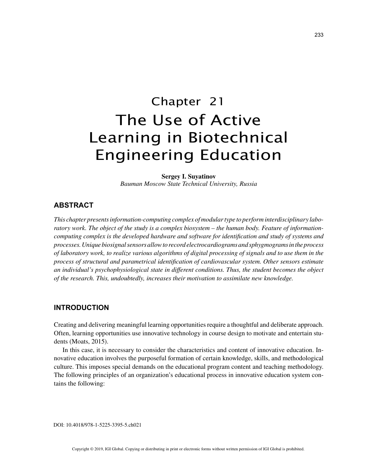# Chapter 21 The Use of Active Learning in Biotechnical Engineering Education

**Sergey I. Suyatinov** *Bauman Moscow State Technical University, Russia*

# **ABSTRACT**

*This chapter presents information-computing complex of modular type to perform interdisciplinary laboratory work. The object of the study is a complex biosystem – the human body. Feature of informationcomputing complex is the developed hardware and software for identification and study of systems and processes. Unique biosignal sensors allow to record electrocardiograms and sphygmograms in the process of laboratory work, to realize various algorithms of digital processing of signals and to use them in the process of structural and parametrical identification of cardiovascular system. Other sensors estimate an individual's psychophysiological state in different conditions. Thus, the student becomes the object of the research. This, undoubtedly, increases their motivation to assimilate new knowledge.*

## **INTRODUCTION**

Creating and delivering meaningful learning opportunities require a thoughtful and deliberate approach. Often, learning opportunities use innovative technology in course design to motivate and entertain students (Moats, 2015).

In this case, it is necessary to consider the characteristics and content of innovative education. Innovative education involves the purposeful formation of certain knowledge, skills, and methodological culture. This imposes special demands on the educational program content and teaching methodology. The following principles of an organization's educational process in innovative education system contains the following:

DOI: 10.4018/978-1-5225-3395-5.ch021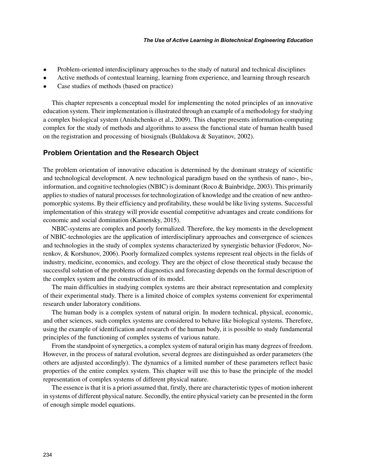- Problem-oriented interdisciplinary approaches to the study of natural and technical disciplines
- Active methods of contextual learning, learning from experience, and learning through research
- Case studies of methods (based on practice)

This chapter represents a conceptual model for implementing the noted principles of an innovative education system. Their implementation is illustrated through an example of a methodology for studying a complex biological system (Anishchenko et al., 2009). This chapter presents information-computing complex for the study of methods and algorithms to assess the functional state of human health based on the registration and processing of biosignals (Buldakova & Suyatinov, 2002).

## **Problem Orientation and the Research Object**

The problem orientation of innovative education is determined by the dominant strategy of scientific and technological development. A new technological paradigm based on the synthesis of nano-, bio-, information, and cognitive technologies (NBIC) is dominant (Roco & Bainbridge, 2003). This primarily applies to studies of natural processes for technologization of knowledge and the creation of new anthropomorphic systems. By their efficiency and profitability, these would be like living systems. Successful implementation of this strategy will provide essential competitive advantages and create conditions for economic and social domination (Kamensky, 2015).

NBIC-systems are complex and poorly formalized. Therefore, the key moments in the development of NBIC-technologies are the application of interdisciplinary approaches and convergence of sciences and technologies in the study of complex systems characterized by synergistic behavior (Fedorov, Norenkov, & Korshunov, 2006). Poorly formalized complex systems represent real objects in the fields of industry, medicine, economics, and ecology. They are the object of close theoretical study because the successful solution of the problems of diagnostics and forecasting depends on the formal description of the complex system and the construction of its model.

The main difficulties in studying complex systems are their abstract representation and complexity of their experimental study. There is a limited choice of complex systems convenient for experimental research under laboratory conditions.

The human body is a complex system of natural origin. In modern technical, physical, economic, and other sciences, such complex systems are considered to behave like biological systems. Therefore, using the example of identification and research of the human body, it is possible to study fundamental principles of the functioning of complex systems of various nature.

From the standpoint of synergetics, a complex system of natural origin has many degrees of freedom. However, in the process of natural evolution, several degrees are distinguished as order parameters (the others are adjusted accordingly). The dynamics of a limited number of these parameters reflect basic properties of the entire complex system. This chapter will use this to base the principle of the model representation of complex systems of different physical nature.

The essence is that it is a priori assumed that, firstly, there are characteristic types of motion inherent in systems of different physical nature. Secondly, the entire physical variety can be presented in the form of enough simple model equations.